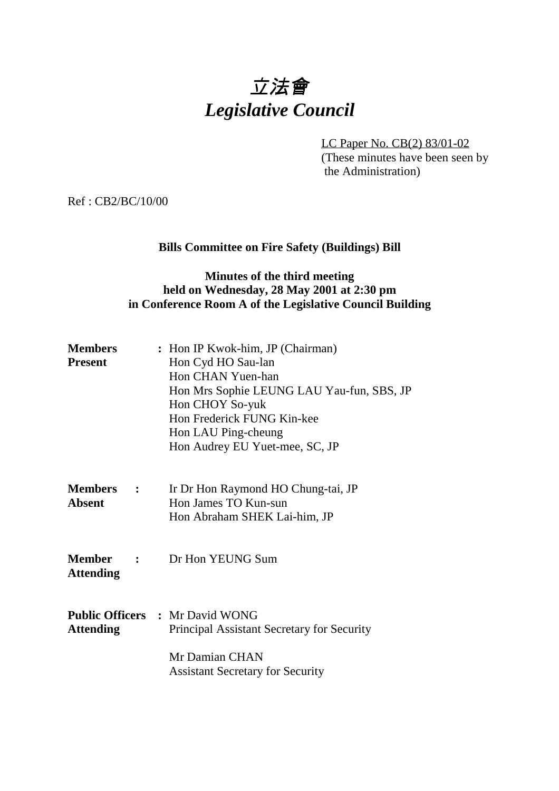# 立法會 *Legislative Council*

LC Paper No. CB(2) 83/01-02 (These minutes have been seen by the Administration)

Ref : CB2/BC/10/00

# **Bills Committee on Fire Safety (Buildings) Bill**

## **Minutes of the third meeting held on Wednesday, 28 May 2001 at 2:30 pm in Conference Room A of the Legislative Council Building**

| <b>Members</b><br><b>Present</b>  |                                | : Hon IP Kwok-him, JP (Chairman)<br>Hon Cyd HO Sau-lan<br>Hon CHAN Yuen-han<br>Hon Mrs Sophie LEUNG LAU Yau-fun, SBS, JP<br>Hon CHOY So-yuk<br>Hon Frederick FUNG Kin-kee<br>Hon LAU Ping-cheung<br>Hon Audrey EU Yuet-mee, SC, JP |
|-----------------------------------|--------------------------------|------------------------------------------------------------------------------------------------------------------------------------------------------------------------------------------------------------------------------------|
| <b>Members</b> :<br><b>Absent</b> |                                | Ir Dr Hon Raymond HO Chung-tai, JP<br>Hon James TO Kun-sun<br>Hon Abraham SHEK Lai-him, JP                                                                                                                                         |
| <b>Member</b><br><b>Attending</b> | $\sim$ 2008 $\sim$ 1000 $\sim$ | Dr Hon YEUNG Sum                                                                                                                                                                                                                   |
| <b>Attending</b>                  |                                | <b>Public Officers : Mr David WONG</b><br>Principal Assistant Secretary for Security<br>Mr Damian CHAN<br><b>Assistant Secretary for Security</b>                                                                                  |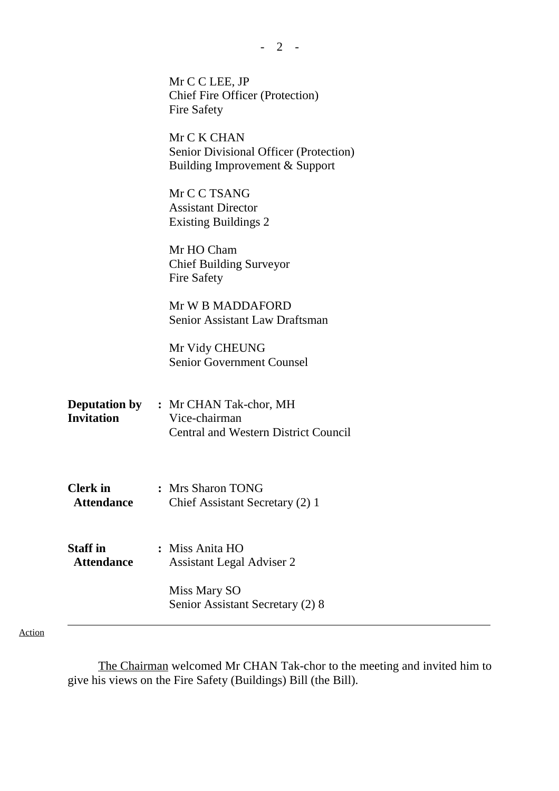|                                      | Mr C C LEE, JP<br><b>Chief Fire Officer (Protection)</b>                                |
|--------------------------------------|-----------------------------------------------------------------------------------------|
|                                      | <b>Fire Safety</b>                                                                      |
|                                      | Mr C K CHAN<br>Senior Divisional Officer (Protection)<br>Building Improvement & Support |
|                                      | Mr C C TSANG<br><b>Assistant Director</b><br><b>Existing Buildings 2</b>                |
|                                      | Mr HO Cham<br><b>Chief Building Surveyor</b><br><b>Fire Safety</b>                      |
|                                      | Mr W B MADDAFORD<br>Senior Assistant Law Draftsman                                      |
|                                      | Mr Vidy CHEUNG<br><b>Senior Government Counsel</b>                                      |
| <b>Invitation</b>                    | <b>Deputation by : Mr CHAN Tak-chor, MH</b><br>Vice-chairman                            |
|                                      | <b>Central and Western District Council</b>                                             |
| <b>Clerk</b> in<br><b>Attendance</b> | : Mrs Sharon TONG<br>Chief Assistant Secretary (2) 1                                    |
|                                      |                                                                                         |
| <b>Staff</b> in<br><b>Attendance</b> | : Miss Anita HO<br><b>Assistant Legal Adviser 2</b>                                     |
|                                      | Miss Mary SO<br>Senior Assistant Secretary (2) 8                                        |

- 2 -

Action

The Chairman welcomed Mr CHAN Tak-chor to the meeting and invited him to give his views on the Fire Safety (Buildings) Bill (the Bill).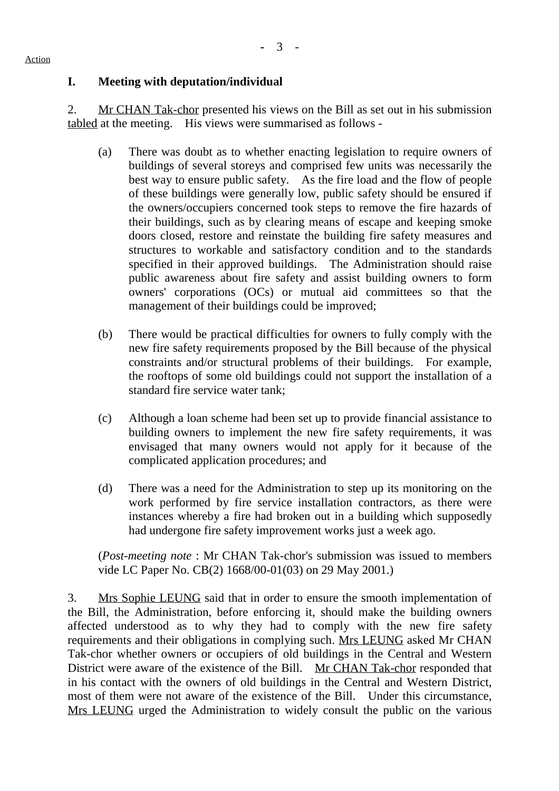#### Action

## **I. Meeting with deputation/individual**

2. Mr CHAN Tak-chor presented his views on the Bill as set out in his submission tabled at the meeting. His views were summarised as follows -

- (a) There was doubt as to whether enacting legislation to require owners of buildings of several storeys and comprised few units was necessarily the best way to ensure public safety. As the fire load and the flow of people of these buildings were generally low, public safety should be ensured if the owners/occupiers concerned took steps to remove the fire hazards of their buildings, such as by clearing means of escape and keeping smoke doors closed, restore and reinstate the building fire safety measures and structures to workable and satisfactory condition and to the standards specified in their approved buildings. The Administration should raise public awareness about fire safety and assist building owners to form owners' corporations (OCs) or mutual aid committees so that the management of their buildings could be improved;
- (b) There would be practical difficulties for owners to fully comply with the new fire safety requirements proposed by the Bill because of the physical constraints and/or structural problems of their buildings. For example, the rooftops of some old buildings could not support the installation of a standard fire service water tank;
- (c) Although a loan scheme had been set up to provide financial assistance to building owners to implement the new fire safety requirements, it was envisaged that many owners would not apply for it because of the complicated application procedures; and
- (d) There was a need for the Administration to step up its monitoring on the work performed by fire service installation contractors, as there were instances whereby a fire had broken out in a building which supposedly had undergone fire safety improvement works just a week ago.

(*Post-meeting note* : Mr CHAN Tak-chor's submission was issued to members vide LC Paper No. CB(2) 1668/00-01(03) on 29 May 2001.)

3. Mrs Sophie LEUNG said that in order to ensure the smooth implementation of the Bill, the Administration, before enforcing it, should make the building owners affected understood as to why they had to comply with the new fire safety requirements and their obligations in complying such. Mrs LEUNG asked Mr CHAN Tak-chor whether owners or occupiers of old buildings in the Central and Western District were aware of the existence of the Bill. Mr CHAN Tak-chor responded that in his contact with the owners of old buildings in the Central and Western District, most of them were not aware of the existence of the Bill. Under this circumstance, Mrs LEUNG urged the Administration to widely consult the public on the various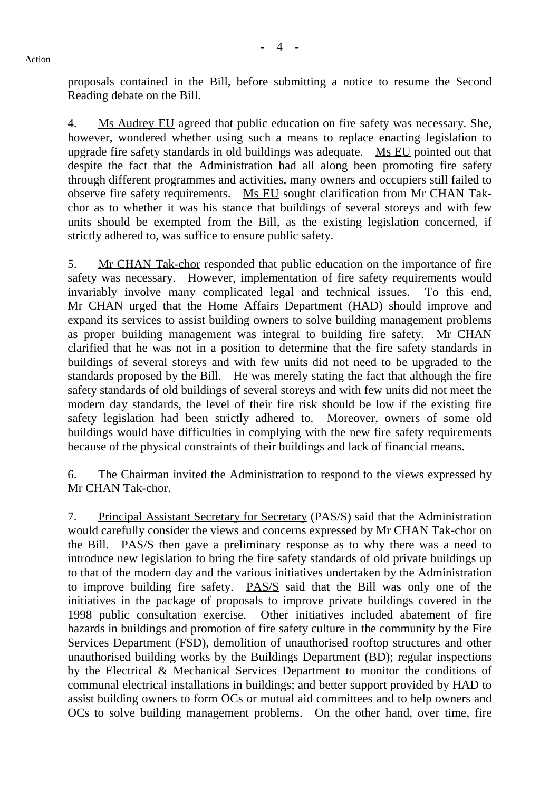proposals contained in the Bill, before submitting a notice to resume the Second Reading debate on the Bill.

4. Ms Audrey EU agreed that public education on fire safety was necessary. She, however, wondered whether using such a means to replace enacting legislation to upgrade fire safety standards in old buildings was adequate. Ms EU pointed out that despite the fact that the Administration had all along been promoting fire safety through different programmes and activities, many owners and occupiers still failed to observe fire safety requirements. Ms EU sought clarification from Mr CHAN Takchor as to whether it was his stance that buildings of several storeys and with few units should be exempted from the Bill, as the existing legislation concerned, if strictly adhered to, was suffice to ensure public safety.

5. Mr CHAN Tak-chor responded that public education on the importance of fire safety was necessary. However, implementation of fire safety requirements would invariably involve many complicated legal and technical issues. To this end, Mr CHAN urged that the Home Affairs Department (HAD) should improve and expand its services to assist building owners to solve building management problems as proper building management was integral to building fire safety. Mr CHAN clarified that he was not in a position to determine that the fire safety standards in buildings of several storeys and with few units did not need to be upgraded to the standards proposed by the Bill. He was merely stating the fact that although the fire safety standards of old buildings of several storeys and with few units did not meet the modern day standards, the level of their fire risk should be low if the existing fire safety legislation had been strictly adhered to. Moreover, owners of some old buildings would have difficulties in complying with the new fire safety requirements because of the physical constraints of their buildings and lack of financial means.

6. The Chairman invited the Administration to respond to the views expressed by Mr CHAN Tak-chor.

7. Principal Assistant Secretary for Secretary (PAS/S) said that the Administration would carefully consider the views and concerns expressed by Mr CHAN Tak-chor on the Bill. PAS/S then gave a preliminary response as to why there was a need to introduce new legislation to bring the fire safety standards of old private buildings up to that of the modern day and the various initiatives undertaken by the Administration to improve building fire safety. PAS/S said that the Bill was only one of the initiatives in the package of proposals to improve private buildings covered in the 1998 public consultation exercise. Other initiatives included abatement of fire hazards in buildings and promotion of fire safety culture in the community by the Fire Services Department (FSD), demolition of unauthorised rooftop structures and other unauthorised building works by the Buildings Department (BD); regular inspections by the Electrical & Mechanical Services Department to monitor the conditions of communal electrical installations in buildings; and better support provided by HAD to assist building owners to form OCs or mutual aid committees and to help owners and OCs to solve building management problems. On the other hand, over time, fire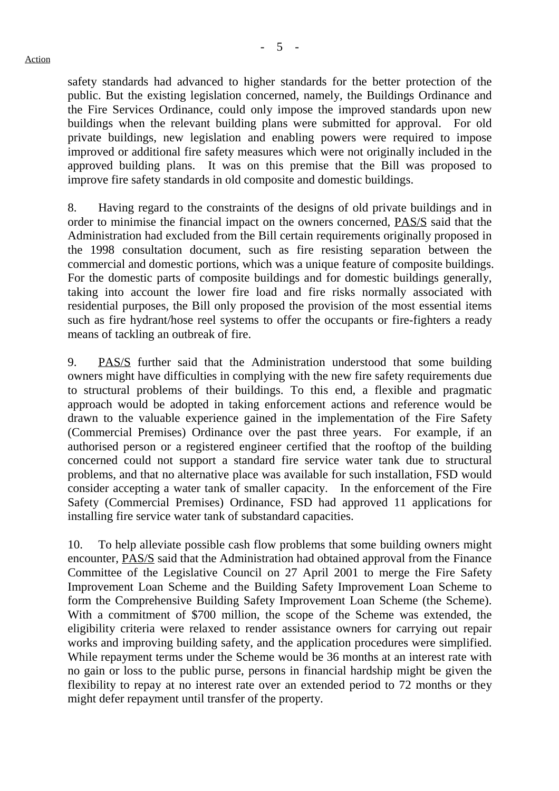safety standards had advanced to higher standards for the better protection of the public. But the existing legislation concerned, namely, the Buildings Ordinance and the Fire Services Ordinance, could only impose the improved standards upon new buildings when the relevant building plans were submitted for approval. For old private buildings, new legislation and enabling powers were required to impose improved or additional fire safety measures which were not originally included in the approved building plans. It was on this premise that the Bill was proposed to improve fire safety standards in old composite and domestic buildings.

8. Having regard to the constraints of the designs of old private buildings and in order to minimise the financial impact on the owners concerned, PAS/S said that the Administration had excluded from the Bill certain requirements originally proposed in the 1998 consultation document, such as fire resisting separation between the commercial and domestic portions, which was a unique feature of composite buildings. For the domestic parts of composite buildings and for domestic buildings generally, taking into account the lower fire load and fire risks normally associated with residential purposes, the Bill only proposed the provision of the most essential items such as fire hydrant/hose reel systems to offer the occupants or fire-fighters a ready means of tackling an outbreak of fire.

9. PAS/S further said that the Administration understood that some building owners might have difficulties in complying with the new fire safety requirements due to structural problems of their buildings. To this end, a flexible and pragmatic approach would be adopted in taking enforcement actions and reference would be drawn to the valuable experience gained in the implementation of the Fire Safety (Commercial Premises) Ordinance over the past three years. For example, if an authorised person or a registered engineer certified that the rooftop of the building concerned could not support a standard fire service water tank due to structural problems, and that no alternative place was available for such installation, FSD would consider accepting a water tank of smaller capacity. In the enforcement of the Fire Safety (Commercial Premises) Ordinance, FSD had approved 11 applications for installing fire service water tank of substandard capacities.

10. To help alleviate possible cash flow problems that some building owners might encounter, PAS/S said that the Administration had obtained approval from the Finance Committee of the Legislative Council on 27 April 2001 to merge the Fire Safety Improvement Loan Scheme and the Building Safety Improvement Loan Scheme to form the Comprehensive Building Safety Improvement Loan Scheme (the Scheme). With a commitment of \$700 million, the scope of the Scheme was extended, the eligibility criteria were relaxed to render assistance owners for carrying out repair works and improving building safety, and the application procedures were simplified. While repayment terms under the Scheme would be 36 months at an interest rate with no gain or loss to the public purse, persons in financial hardship might be given the flexibility to repay at no interest rate over an extended period to 72 months or they might defer repayment until transfer of the property.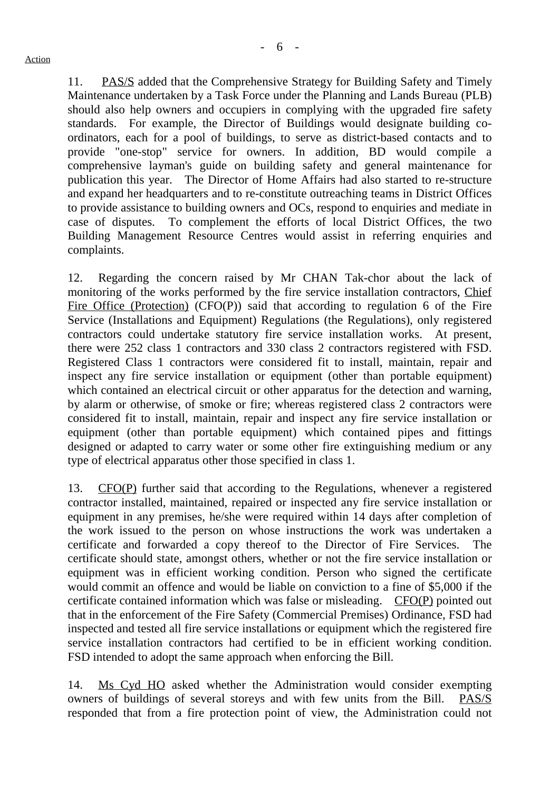11. PAS/S added that the Comprehensive Strategy for Building Safety and Timely Maintenance undertaken by a Task Force under the Planning and Lands Bureau (PLB) should also help owners and occupiers in complying with the upgraded fire safety standards. For example, the Director of Buildings would designate building coordinators, each for a pool of buildings, to serve as district-based contacts and to provide "one-stop" service for owners. In addition, BD would compile a comprehensive layman's guide on building safety and general maintenance for publication this year. The Director of Home Affairs had also started to re-structure and expand her headquarters and to re-constitute outreaching teams in District Offices to provide assistance to building owners and OCs, respond to enquiries and mediate in case of disputes. To complement the efforts of local District Offices, the two Building Management Resource Centres would assist in referring enquiries and complaints.

12. Regarding the concern raised by Mr CHAN Tak-chor about the lack of monitoring of the works performed by the fire service installation contractors, Chief Fire Office (Protection) (CFO(P)) said that according to regulation 6 of the Fire Service (Installations and Equipment) Regulations (the Regulations), only registered contractors could undertake statutory fire service installation works. At present, there were 252 class 1 contractors and 330 class 2 contractors registered with FSD. Registered Class 1 contractors were considered fit to install, maintain, repair and inspect any fire service installation or equipment (other than portable equipment) which contained an electrical circuit or other apparatus for the detection and warning, by alarm or otherwise, of smoke or fire; whereas registered class 2 contractors were considered fit to install, maintain, repair and inspect any fire service installation or equipment (other than portable equipment) which contained pipes and fittings designed or adapted to carry water or some other fire extinguishing medium or any type of electrical apparatus other those specified in class 1.

13. CFO(P) further said that according to the Regulations, whenever a registered contractor installed, maintained, repaired or inspected any fire service installation or equipment in any premises, he/she were required within 14 days after completion of the work issued to the person on whose instructions the work was undertaken a certificate and forwarded a copy thereof to the Director of Fire Services. The certificate should state, amongst others, whether or not the fire service installation or equipment was in efficient working condition. Person who signed the certificate would commit an offence and would be liable on conviction to a fine of \$5,000 if the certificate contained information which was false or misleading. CFO(P) pointed out that in the enforcement of the Fire Safety (Commercial Premises) Ordinance, FSD had inspected and tested all fire service installations or equipment which the registered fire service installation contractors had certified to be in efficient working condition. FSD intended to adopt the same approach when enforcing the Bill.

14. Ms Cyd HO asked whether the Administration would consider exempting owners of buildings of several storeys and with few units from the Bill. PAS/S responded that from a fire protection point of view, the Administration could not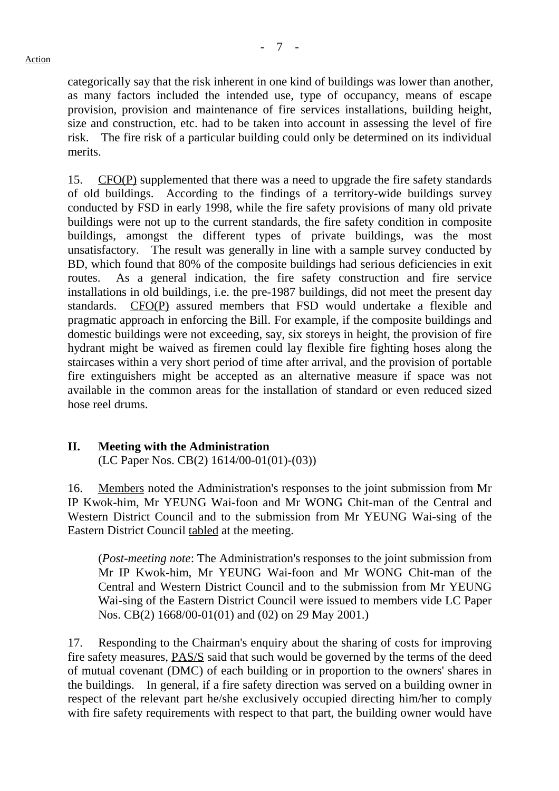categorically say that the risk inherent in one kind of buildings was lower than another, as many factors included the intended use, type of occupancy, means of escape provision, provision and maintenance of fire services installations, building height, size and construction, etc. had to be taken into account in assessing the level of fire risk. The fire risk of a particular building could only be determined on its individual merits.

15. CFO(P) supplemented that there was a need to upgrade the fire safety standards of old buildings. According to the findings of a territory-wide buildings survey conducted by FSD in early 1998, while the fire safety provisions of many old private buildings were not up to the current standards, the fire safety condition in composite buildings, amongst the different types of private buildings, was the most unsatisfactory. The result was generally in line with a sample survey conducted by BD, which found that 80% of the composite buildings had serious deficiencies in exit routes. As a general indication, the fire safety construction and fire service installations in old buildings, i.e. the pre-1987 buildings, did not meet the present day standards. CFO(P) assured members that FSD would undertake a flexible and pragmatic approach in enforcing the Bill. For example, if the composite buildings and domestic buildings were not exceeding, say, six storeys in height, the provision of fire hydrant might be waived as firemen could lay flexible fire fighting hoses along the staircases within a very short period of time after arrival, and the provision of portable fire extinguishers might be accepted as an alternative measure if space was not available in the common areas for the installation of standard or even reduced sized hose reel drums.

## **II. Meeting with the Administration**

(LC Paper Nos. CB(2) 1614/00-01(01)-(03))

16. Members noted the Administration's responses to the joint submission from Mr IP Kwok-him, Mr YEUNG Wai-foon and Mr WONG Chit-man of the Central and Western District Council and to the submission from Mr YEUNG Wai-sing of the Eastern District Council tabled at the meeting.

(*Post-meeting note*: The Administration's responses to the joint submission from Mr IP Kwok-him, Mr YEUNG Wai-foon and Mr WONG Chit-man of the Central and Western District Council and to the submission from Mr YEUNG Wai-sing of the Eastern District Council were issued to members vide LC Paper Nos. CB(2) 1668/00-01(01) and (02) on 29 May 2001.)

17. Responding to the Chairman's enquiry about the sharing of costs for improving fire safety measures, PAS/S said that such would be governed by the terms of the deed of mutual covenant (DMC) of each building or in proportion to the owners' shares in the buildings. In general, if a fire safety direction was served on a building owner in respect of the relevant part he/she exclusively occupied directing him/her to comply with fire safety requirements with respect to that part, the building owner would have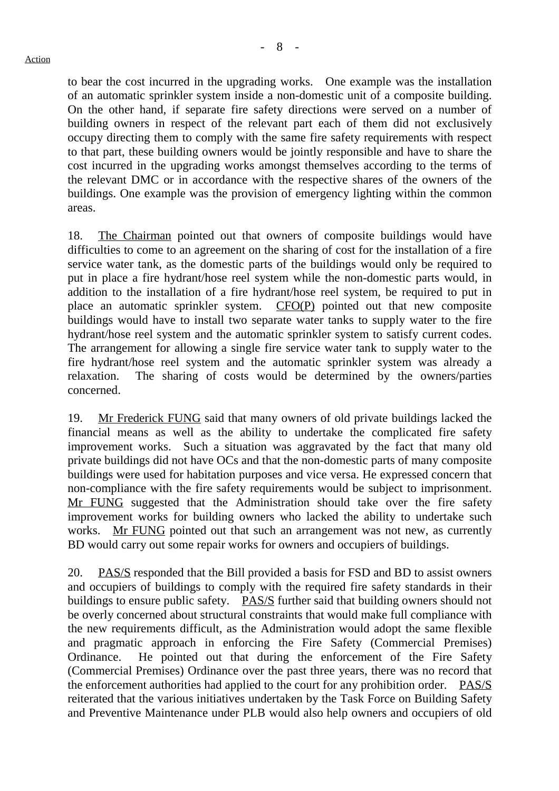to bear the cost incurred in the upgrading works. One example was the installation of an automatic sprinkler system inside a non-domestic unit of a composite building. On the other hand, if separate fire safety directions were served on a number of building owners in respect of the relevant part each of them did not exclusively occupy directing them to comply with the same fire safety requirements with respect to that part, these building owners would be jointly responsible and have to share the cost incurred in the upgrading works amongst themselves according to the terms of the relevant DMC or in accordance with the respective shares of the owners of the buildings. One example was the provision of emergency lighting within the common areas.

18. The Chairman pointed out that owners of composite buildings would have difficulties to come to an agreement on the sharing of cost for the installation of a fire service water tank, as the domestic parts of the buildings would only be required to put in place a fire hydrant/hose reel system while the non-domestic parts would, in addition to the installation of a fire hydrant/hose reel system, be required to put in place an automatic sprinkler system. CFO(P) pointed out that new composite buildings would have to install two separate water tanks to supply water to the fire hydrant/hose reel system and the automatic sprinkler system to satisfy current codes. The arrangement for allowing a single fire service water tank to supply water to the fire hydrant/hose reel system and the automatic sprinkler system was already a relaxation. The sharing of costs would be determined by the owners/parties concerned.

19. Mr Frederick FUNG said that many owners of old private buildings lacked the financial means as well as the ability to undertake the complicated fire safety improvement works. Such a situation was aggravated by the fact that many old private buildings did not have OCs and that the non-domestic parts of many composite buildings were used for habitation purposes and vice versa. He expressed concern that non-compliance with the fire safety requirements would be subject to imprisonment. Mr FUNG suggested that the Administration should take over the fire safety improvement works for building owners who lacked the ability to undertake such works. Mr FUNG pointed out that such an arrangement was not new, as currently BD would carry out some repair works for owners and occupiers of buildings.

20. PAS/S responded that the Bill provided a basis for FSD and BD to assist owners and occupiers of buildings to comply with the required fire safety standards in their buildings to ensure public safety. PAS/S further said that building owners should not be overly concerned about structural constraints that would make full compliance with the new requirements difficult, as the Administration would adopt the same flexible and pragmatic approach in enforcing the Fire Safety (Commercial Premises) Ordinance. He pointed out that during the enforcement of the Fire Safety (Commercial Premises) Ordinance over the past three years, there was no record that the enforcement authorities had applied to the court for any prohibition order. PAS/S reiterated that the various initiatives undertaken by the Task Force on Building Safety and Preventive Maintenance under PLB would also help owners and occupiers of old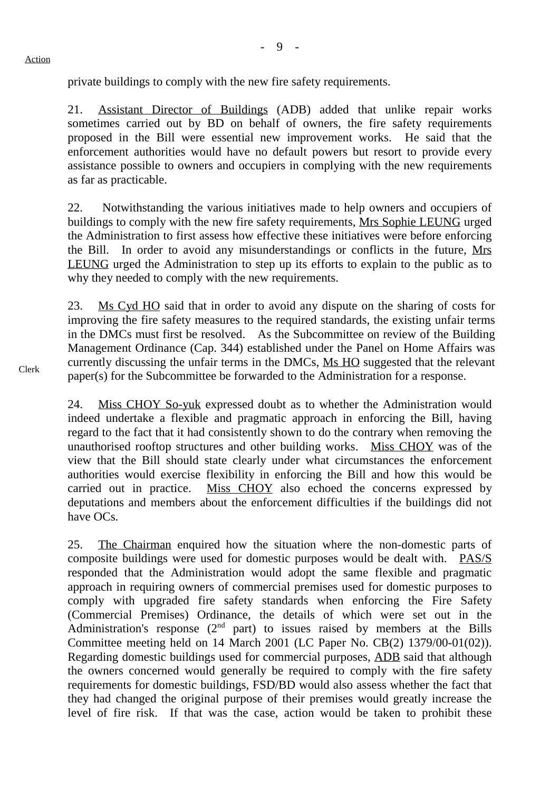private buildings to comply with the new fire safety requirements.

21. Assistant Director of Buildings (ADB) added that unlike repair works sometimes carried out by BD on behalf of owners, the fire safety requirements proposed in the Bill were essential new improvement works. He said that the enforcement authorities would have no default powers but resort to provide every assistance possible to owners and occupiers in complying with the new requirements as far as practicable.

22. Notwithstanding the various initiatives made to help owners and occupiers of buildings to comply with the new fire safety requirements, Mrs Sophie LEUNG urged the Administration to first assess how effective these initiatives were before enforcing the Bill. In order to avoid any misunderstandings or conflicts in the future, Mrs LEUNG urged the Administration to step up its efforts to explain to the public as to why they needed to comply with the new requirements.

23. Ms Cyd HO said that in order to avoid any dispute on the sharing of costs for improving the fire safety measures to the required standards, the existing unfair terms in the DMCs must first be resolved. As the Subcommittee on review of the Building Management Ordinance (Cap. 344) established under the Panel on Home Affairs was currently discussing the unfair terms in the DMCs, Ms HO suggested that the relevant paper(s) for the Subcommittee be forwarded to the Administration for a response.

24. Miss CHOY So-yuk expressed doubt as to whether the Administration would indeed undertake a flexible and pragmatic approach in enforcing the Bill, having regard to the fact that it had consistently shown to do the contrary when removing the unauthorised rooftop structures and other building works. Miss CHOY was of the view that the Bill should state clearly under what circumstances the enforcement authorities would exercise flexibility in enforcing the Bill and how this would be carried out in practice. Miss CHOY also echoed the concerns expressed by deputations and members about the enforcement difficulties if the buildings did not have OCs.

25. The Chairman enquired how the situation where the non-domestic parts of composite buildings were used for domestic purposes would be dealt with. PAS/S responded that the Administration would adopt the same flexible and pragmatic approach in requiring owners of commercial premises used for domestic purposes to comply with upgraded fire safety standards when enforcing the Fire Safety (Commercial Premises) Ordinance, the details of which were set out in the Administration's response  $(2<sup>nd</sup>$  part) to issues raised by members at the Bills Committee meeting held on 14 March 2001 (LC Paper No. CB(2) 1379/00-01(02)). Regarding domestic buildings used for commercial purposes, ADB said that although the owners concerned would generally be required to comply with the fire safety requirements for domestic buildings, FSD/BD would also assess whether the fact that they had changed the original purpose of their premises would greatly increase the level of fire risk. If that was the case, action would be taken to prohibit these

Clerk